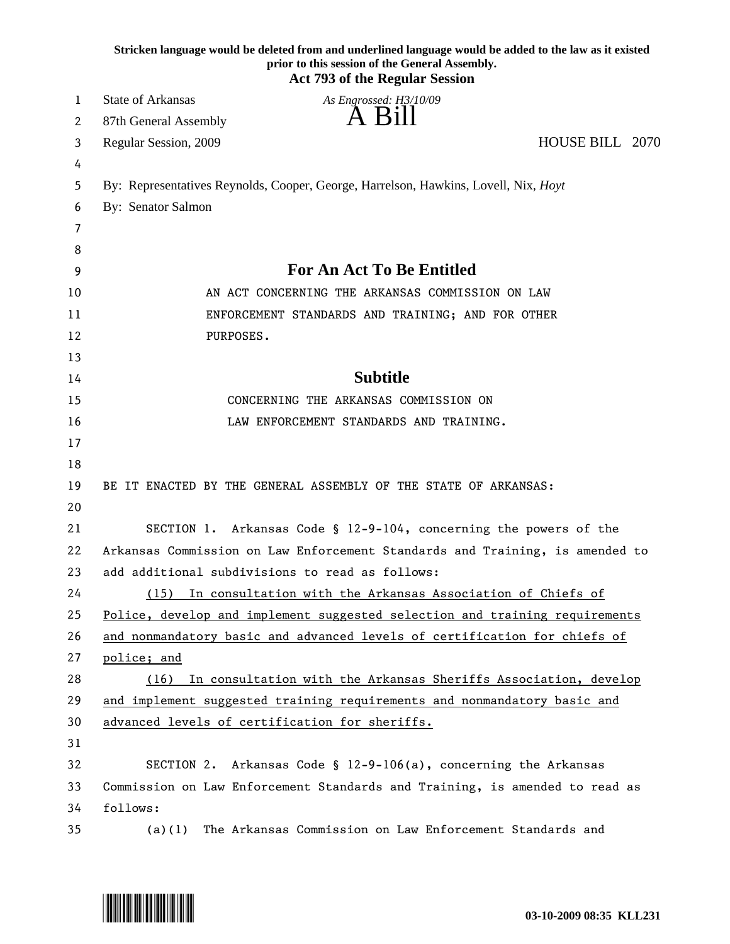|    | Stricken language would be deleted from and underlined language would be added to the law as it existed<br>prior to this session of the General Assembly.<br><b>Act 793 of the Regular Session</b> |
|----|----------------------------------------------------------------------------------------------------------------------------------------------------------------------------------------------------|
| 1  | State of Arkansas<br>As Engrossed: H3/10/09                                                                                                                                                        |
| 2  | A Bill<br>87th General Assembly                                                                                                                                                                    |
| 3  | HOUSE BILL 2070<br>Regular Session, 2009                                                                                                                                                           |
| 4  |                                                                                                                                                                                                    |
| 5  | By: Representatives Reynolds, Cooper, George, Harrelson, Hawkins, Lovell, Nix, Hoyt                                                                                                                |
| 6  | By: Senator Salmon                                                                                                                                                                                 |
| 7  |                                                                                                                                                                                                    |
| 8  |                                                                                                                                                                                                    |
| 9  | For An Act To Be Entitled                                                                                                                                                                          |
| 10 | AN ACT CONCERNING THE ARKANSAS COMMISSION ON LAW                                                                                                                                                   |
| 11 | ENFORCEMENT STANDARDS AND TRAINING; AND FOR OTHER                                                                                                                                                  |
| 12 | PURPOSES.                                                                                                                                                                                          |
| 13 |                                                                                                                                                                                                    |
| 14 | <b>Subtitle</b>                                                                                                                                                                                    |
| 15 | CONCERNING THE ARKANSAS COMMISSION ON                                                                                                                                                              |
| 16 | LAW ENFORCEMENT STANDARDS AND TRAINING.                                                                                                                                                            |
| 17 |                                                                                                                                                                                                    |
| 18 |                                                                                                                                                                                                    |
| 19 | BE IT ENACTED BY THE GENERAL ASSEMBLY OF THE STATE OF ARKANSAS:                                                                                                                                    |
| 20 |                                                                                                                                                                                                    |
| 21 | SECTION 1. Arkansas Code § 12-9-104, concerning the powers of the                                                                                                                                  |
| 22 | Arkansas Commission on Law Enforcement Standards and Training, is amended to                                                                                                                       |
| 23 | add additional subdivisions to read as follows:                                                                                                                                                    |
| 24 | In consultation with the Arkansas Association of Chiefs of<br>(15)                                                                                                                                 |
| 25 | Police, develop and implement suggested selection and training requirements                                                                                                                        |
| 26 | and nonmandatory basic and advanced levels of certification for chiefs of                                                                                                                          |
| 27 | police; and                                                                                                                                                                                        |
| 28 | In consultation with the Arkansas Sheriffs Association, develop<br>(16)                                                                                                                            |
| 29 | and implement suggested training requirements and nonmandatory basic and                                                                                                                           |
| 30 | advanced levels of certification for sheriffs.                                                                                                                                                     |
| 31 |                                                                                                                                                                                                    |
| 32 | Arkansas Code § 12-9-106(a), concerning the Arkansas<br>SECTION 2.                                                                                                                                 |
| 33 | Commission on Law Enforcement Standards and Training, is amended to read as                                                                                                                        |
| 34 | follows:                                                                                                                                                                                           |
| 35 | The Arkansas Commission on Law Enforcement Standards and<br>(a)(1)                                                                                                                                 |